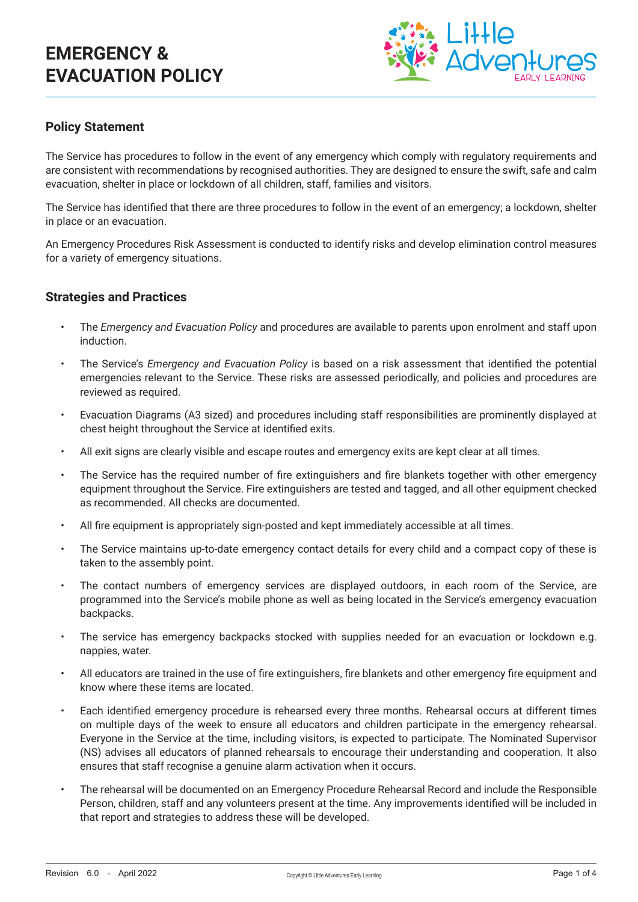# **EMERGENCY & EVACUATION POLICY**



## **Policy Statement**

The Service has procedures to follow in the event of any emergency which comply with regulatory requirements and are consistent with recommendations by recognised authorities. They are designed to ensure the swift, safe and calm evacuation, shelter in place or lockdown of all children, staff, families and visitors.

The Service has identified that there are three procedures to follow in the event of an emergency; a lockdown, shelter in place or an evacuation.

An Emergency Procedures Risk Assessment is conducted to identify risks and develop elimination control measures for a variety of emergency situations.

#### **Strategies and Practices**

- The *Emergency and Evacuation Policy* and procedures are available to parents upon enrolment and staff upon induction.
- The Service's *Emergency and Evacuation Policy* is based on a risk assessment that identified the potential emergencies relevant to the Service. These risks are assessed periodically, and policies and procedures are reviewed as required.
- Evacuation Diagrams (A3 sized) and procedures including staff responsibilities are prominently displayed at chest height throughout the Service at identified exits.
- All exit signs are clearly visible and escape routes and emergency exits are kept clear at all times.
- The Service has the required number of fire extinguishers and fire blankets together with other emergency equipment throughout the Service. Fire extinguishers are tested and tagged, and all other equipment checked as recommended. All checks are documented.
- All fire equipment is appropriately sign-posted and kept immediately accessible at all times.
- The Service maintains up-to-date emergency contact details for every child and a compact copy of these is taken to the assembly point.
- The contact numbers of emergency services are displayed outdoors, in each room of the Service, are programmed into the Service's mobile phone as well as being located in the Service's emergency evacuation backpacks.
- The service has emergency backpacks stocked with supplies needed for an evacuation or lockdown e.g. nappies, water.
- All educators are trained in the use of fire extinguishers, fire blankets and other emergency fire equipment and know where these items are located.
- Each identified emergency procedure is rehearsed every three months. Rehearsal occurs at different times on multiple days of the week to ensure all educators and children participate in the emergency rehearsal. Everyone in the Service at the time, including visitors, is expected to participate. The Nominated Supervisor (NS) advises all educators of planned rehearsals to encourage their understanding and cooperation. It also ensures that staff recognise a genuine alarm activation when it occurs.
- The rehearsal will be documented on an Emergency Procedure Rehearsal Record and include the Responsible Person, children, staff and any volunteers present at the time. Any improvements identified will be included in that report and strategies to address these will be developed.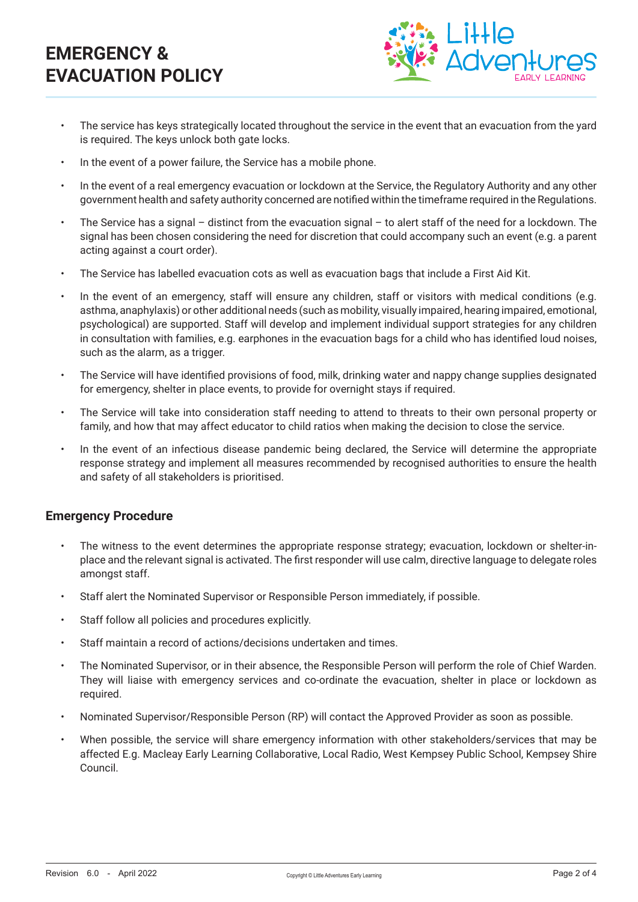# **EMERGENCY & EVACUATION POLICY**



- The service has keys strategically located throughout the service in the event that an evacuation from the vard is required. The keys unlock both gate locks.
- In the event of a power failure, the Service has a mobile phone.
- In the event of a real emergency evacuation or lockdown at the Service, the Regulatory Authority and any other government health and safety authority concerned are notified within the timeframe required in the Regulations.
- The Service has a signal distinct from the evacuation signal to alert staff of the need for a lockdown. The signal has been chosen considering the need for discretion that could accompany such an event (e.g. a parent acting against a court order).
- The Service has labelled evacuation cots as well as evacuation bags that include a First Aid Kit.
- In the event of an emergency, staff will ensure any children, staff or visitors with medical conditions (e.g. asthma, anaphylaxis) or other additional needs (such as mobility, visually impaired, hearing impaired, emotional, psychological) are supported. Staff will develop and implement individual support strategies for any children in consultation with families, e.g. earphones in the evacuation bags for a child who has identified loud noises, such as the alarm, as a trigger.
- The Service will have identified provisions of food, milk, drinking water and nappy change supplies designated for emergency, shelter in place events, to provide for overnight stays if required.
- The Service will take into consideration staff needing to attend to threats to their own personal property or family, and how that may affect educator to child ratios when making the decision to close the service.
- In the event of an infectious disease pandemic being declared, the Service will determine the appropriate response strategy and implement all measures recommended by recognised authorities to ensure the health and safety of all stakeholders is prioritised.

#### **Emergency Procedure**

- The witness to the event determines the appropriate response strategy; evacuation, lockdown or shelter-inplace and the relevant signal is activated. The first responder will use calm, directive language to delegate roles amongst staff.
- Staff alert the Nominated Supervisor or Responsible Person immediately, if possible.
- Staff follow all policies and procedures explicitly.
- Staff maintain a record of actions/decisions undertaken and times.
- The Nominated Supervisor, or in their absence, the Responsible Person will perform the role of Chief Warden. They will liaise with emergency services and co-ordinate the evacuation, shelter in place or lockdown as required.
- Nominated Supervisor/Responsible Person (RP) will contact the Approved Provider as soon as possible.
- When possible, the service will share emergency information with other stakeholders/services that may be affected E.g. Macleay Early Learning Collaborative, Local Radio, West Kempsey Public School, Kempsey Shire Council.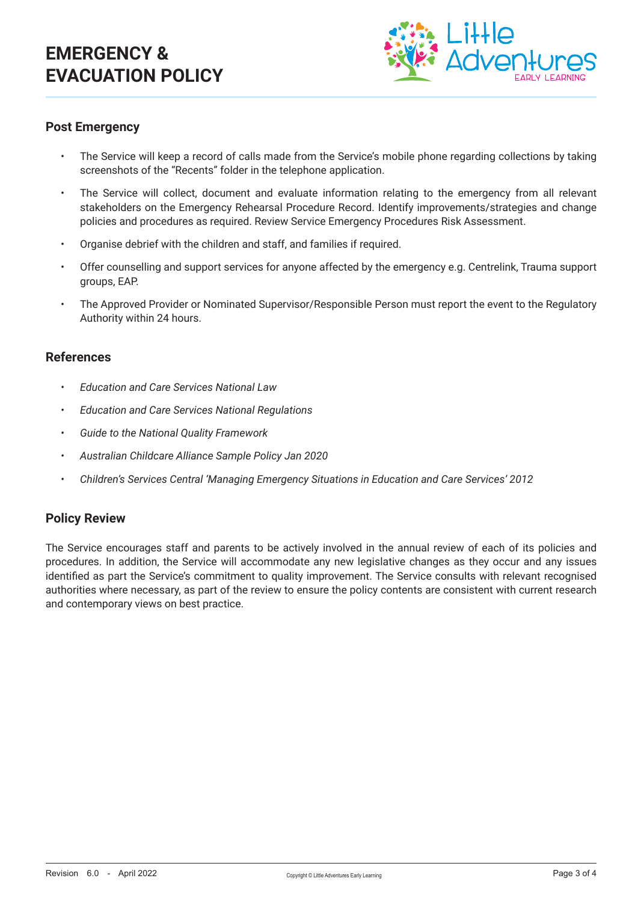

#### **Post Emergency**

- The Service will keep a record of calls made from the Service's mobile phone regarding collections by taking screenshots of the "Recents" folder in the telephone application.
- The Service will collect, document and evaluate information relating to the emergency from all relevant stakeholders on the Emergency Rehearsal Procedure Record. Identify improvements/strategies and change policies and procedures as required. Review Service Emergency Procedures Risk Assessment.
- Organise debrief with the children and staff, and families if required.
- Offer counselling and support services for anyone affected by the emergency e.g. Centrelink, Trauma support groups, EAP.
- The Approved Provider or Nominated Supervisor/Responsible Person must report the event to the Regulatory Authority within 24 hours.

#### **References**

- *• Education and Care Services National Law*
- *• Education and Care Services National Regulations*
- *• Guide to the National Quality Framework*
- *• Australian Childcare Alliance Sample Policy Jan 2020*
- *• Children's Services Central 'Managing Emergency Situations in Education and Care Services' 2012*

### **Policy Review**

The Service encourages staff and parents to be actively involved in the annual review of each of its policies and procedures. In addition, the Service will accommodate any new legislative changes as they occur and any issues identified as part the Service's commitment to quality improvement. The Service consults with relevant recognised authorities where necessary, as part of the review to ensure the policy contents are consistent with current research and contemporary views on best practice.